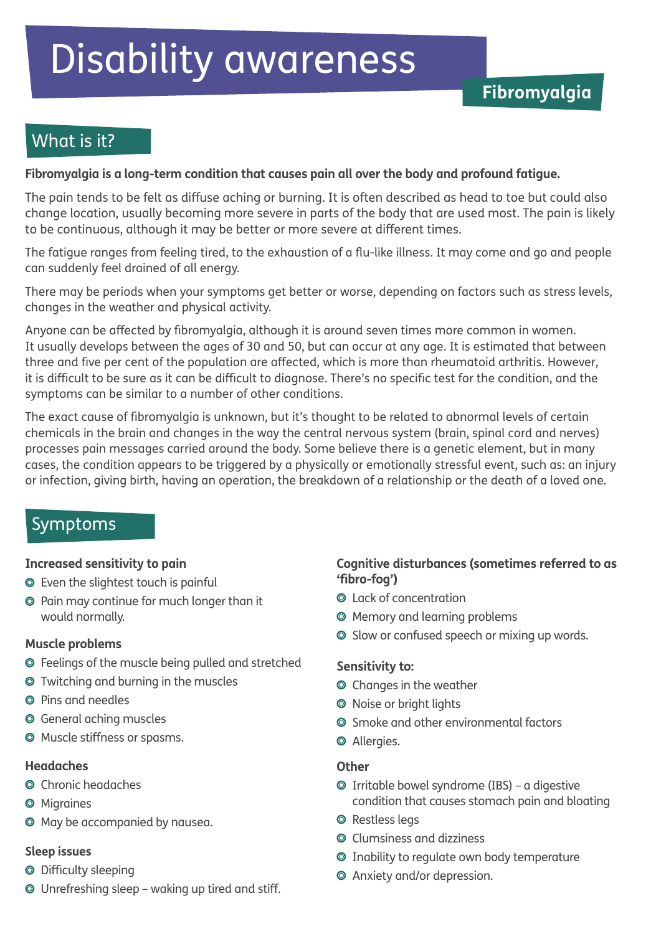# Disability awareness

## What is it?

#### **Fibromyalgia is a long-term condition that causes pain all over the body and profound fatigue.**

The pain tends to be felt as diffuse aching or burning. It is often described as head to toe but could also change location, usually becoming more severe in parts of the body that are used most. The pain is likely to be continuous, although it may be better or more severe at different times.

The fatigue ranges from feeling tired, to the exhaustion of a flu-like illness. It may come and go and people can suddenly feel drained of all energy.

There may be periods when your symptoms get better or worse, depending on factors such as stress levels, changes in the weather and physical activity.

Anyone can be affected by fibromyalgia, although it is around seven times more common in women. It usually develops between the ages of 30 and 50, but can occur at any age. It is estimated that between three and five per cent of the population are affected, which is more than rheumatoid arthritis. However, it is difficult to be sure as it can be difficult to diagnose. There's no specific test for the condition, and the symptoms can be similar to a number of other conditions.

The exact cause of fibromyalgia is unknown, but it's thought to be related to abnormal levels of certain chemicals in the brain and changes in the way the central nervous system (brain, spinal cord and nerves) processes pain messages carried around the body. Some believe there is a genetic element, but in many cases, the condition appears to be triggered by a physically or emotionally stressful event, such as: an injury or infection, giving birth, having an operation, the breakdown of a relationship or the death of a loved one.

## Symptoms

#### **Increased sensitivity to pain**

- Even the slightest touch is painful
- Pain may continue for much longer than it would normally.

#### **Muscle problems**

- Feelings of the muscle being pulled and stretched
- Twitching and burning in the muscles
- Pins and needles
- General aching muscles
- Muscle stiffness or spasms.

#### **Headaches**

- Chronic headaches
- **O** Migraines
- May be accompanied by nausea.

#### **Sleep issues**

- Difficulty sleeping
- Unrefreshing sleep waking up tired and stiff.

### **Cognitive disturbances (sometimes referred to as 'fibro-fog')**

- Lack of concentration
- Memory and learning problems
- $\odot$  Slow or confused speech or mixing up words.

#### **Sensitivity to:**

- Changes in the weather
- O Noise or bright lights
- **Smoke and other environmental factors**
- Allergies.

#### **Other**

- $\odot$  Irritable bowel syndrome (IBS) a digestive condition that causes stomach pain and bloating
- **O** Restless legs
- Clumsiness and dizziness
- Inability to regulate own body temperature
- Anxiety and/or depression.